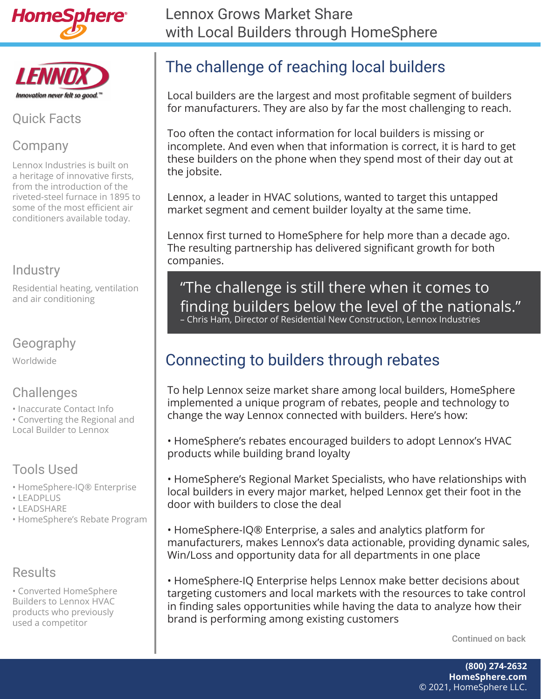



#### Quick Facts

#### Company

Lennox Industries is built on a heritage of innovative firsts, from the introduction of the riveted-steel furnace in 1895 to some of the most efficient air conditioners available today.

#### **Industry**

Residential heating, ventilation and air conditioning

#### Geography

Worldwide

## **Challenges**

- Inaccurate Contact Info
- Converting the Regional and Local Builder to Lennox

## Tools Used

- HomeSphere-IQ® Enterprise
- LEADPLUS
- LEADSHARE
- HomeSphere's Rebate Program

### **Results**

• Converted HomeSphere Builders to Lennox HVAC products who previously used a competitor

# The challenge of reaching local builders

Local builders are the largest and most profitable segment of builders for manufacturers. They are also by far the most challenging to reach.

Too often the contact information for local builders is missing or incomplete. And even when that information is correct, it is hard to get these builders on the phone when they spend most of their day out at the jobsite.

Lennox, a leader in HVAC solutions, wanted to target this untapped market segment and cement builder loyalty at the same time.

Lennox first turned to HomeSphere for help more than a decade ago. The resulting partnership has delivered significant growth for both companies.

"The challenge is still there when it comes to finding builders below the level of the nationals." – Chris Ham, Director of Residential New Construction, Lennox Industries

## Connecting to builders through rebates

To help Lennox seize market share among local builders, HomeSphere implemented a unique program of rebates, people and technology to change the way Lennox connected with builders. Here's how:

• HomeSphere's rebates encouraged builders to adopt Lennox's HVAC products while building brand loyalty

• HomeSphere's Regional Market Specialists, who have relationships with local builders in every major market, helped Lennox get their foot in the door with builders to close the deal

• HomeSphere-IQ® Enterprise, a sales and analytics platform for manufacturers, makes Lennox's data actionable, providing dynamic sales, Win/Loss and opportunity data for all departments in one place

• HomeSphere-IQ Enterprise helps Lennox make better decisions about targeting customers and local markets with the resources to take control in finding sales opportunities while having the data to analyze how their brand is performing among existing customers

Continued on back